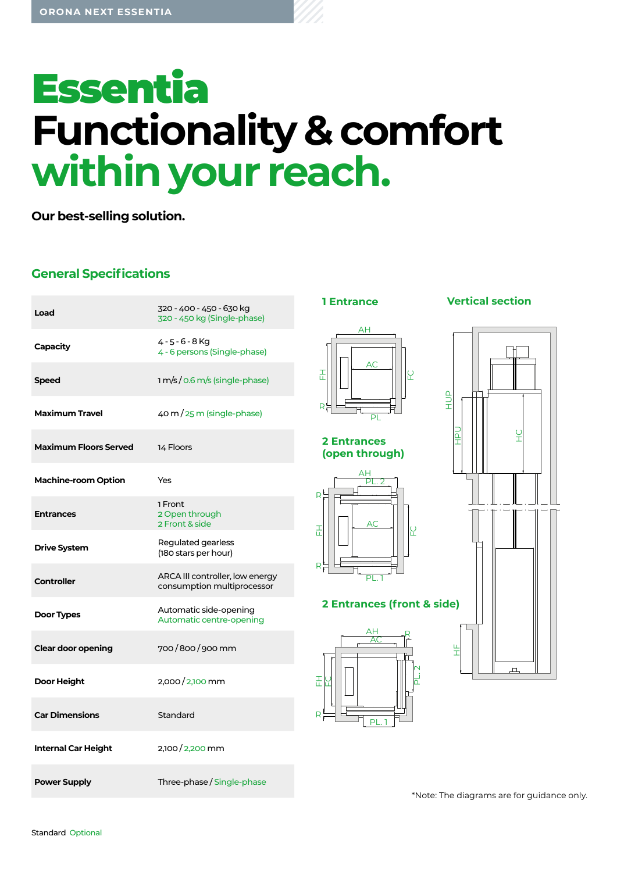# **Essentia Functionality & comfort within your reach.**

**Our best-selling solution.**

# **General Specifications**

| Load                         | 320 - 400 - 450 - 630 kg<br>320 - 450 kg (Single-phase)       |
|------------------------------|---------------------------------------------------------------|
| Capacity                     | 4-5-6-8Kg<br>4 - 6 persons (Single-phase)                     |
| <b>Speed</b>                 | 1 m/s / 0.6 m/s (single-phase)                                |
| <b>Maximum Travel</b>        | 40 m / 25 m (single-phase)                                    |
| <b>Maximum Floors Served</b> | 14 Floors                                                     |
| <b>Machine-room Option</b>   | Yes                                                           |
| <b>Entrances</b>             | 1 Front<br>2 Open through<br>2 Front & side                   |
| <b>Drive System</b>          | Regulated gearless<br>(180 stars per hour)                    |
| <b>Controller</b>            | ARCA III controller, low energy<br>consumption multiprocessor |
| Door Types                   | Automatic side-opening<br>Automatic centre-opening            |
| <b>Clear door opening</b>    | 700/800/900 mm                                                |
| Door Height                  | 2,000/2,100 mm                                                |
| <b>Car Dimensions</b>        | Standard                                                      |
| <b>Internal Car Height</b>   | 2,100/2,200 mm                                                |
| <b>Power Supply</b>          | Three-phase / Single-phase                                    |



**2 Entrances (open through)**



**2 Entrances (front & side)**





\*Note: The diagrams are for guidance only.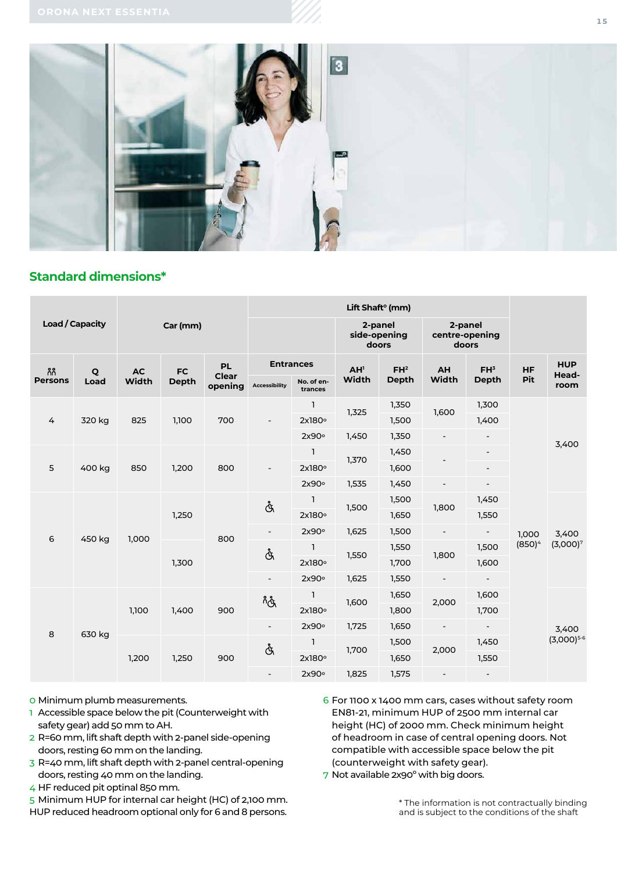

## **Standard dimensions\***

| <b>Load / Capacity</b> |                      |                    |                      |                               | Lift Shaft <sup>o</sup> (mm) |                       |                                  |                 |                                    |                          |           |                     |
|------------------------|----------------------|--------------------|----------------------|-------------------------------|------------------------------|-----------------------|----------------------------------|-----------------|------------------------------------|--------------------------|-----------|---------------------|
|                        |                      | Car (mm)           |                      |                               |                              |                       | 2-panel<br>side-opening<br>doors |                 | 2-panel<br>centre-opening<br>doors |                          |           |                     |
| កំកំ<br><b>Persons</b> | $\mathbf{Q}$<br>Load | <b>AC</b><br>Width | $FC$<br><b>Depth</b> | PL<br><b>Clear</b><br>opening | <b>Entrances</b>             |                       | AH <sup>1</sup>                  | FH <sup>2</sup> | AH                                 | FH <sup>3</sup>          | HF        | <b>HUP</b><br>Head- |
|                        |                      |                    |                      |                               | <b>Accessibility</b>         | No. of en-<br>trances | Width                            | Depth           | Width                              | <b>Depth</b>             | Pit       | room                |
| 4                      | 320 kg               | 825                | 1,100                | 700                           | $\overline{\phantom{a}}$     | $\mathbf{1}$          | 1,325                            | 1,350           | 1,600                              | 1,300                    |           | 3,400               |
|                        |                      |                    |                      |                               |                              | 2x180°                |                                  | 1,500           |                                    | 1,400                    |           |                     |
|                        |                      |                    |                      |                               |                              | 2x90°                 | 1,450                            | 1,350           | $\overline{\phantom{a}}$           |                          |           |                     |
| 5                      | 400 kg               | 850                | 1,200                | 800                           |                              | $\mathbf{1}$          | 1,370                            | 1,450           |                                    | $\overline{\phantom{a}}$ |           |                     |
|                        |                      |                    |                      |                               |                              | 2x180°                |                                  | 1,600           |                                    | $\overline{\phantom{a}}$ |           |                     |
|                        |                      |                    |                      |                               |                              | 2x90°                 | 1,535                            | 1,450           |                                    | -                        |           |                     |
| 6                      | 450 kg               | 1,000              | 1,250                | 800                           | Å                            | $\mathbf{1}$          | 1,500                            | 1,500           | 1,800                              | 1,450                    |           | 3,400               |
|                        |                      |                    |                      |                               |                              | 2x180°                |                                  | 1,650           |                                    | 1,550                    |           |                     |
|                        |                      |                    |                      |                               | $\blacksquare$               | 2x90°                 | 1,625                            | 1,500           | $\overline{\phantom{a}}$           | $\overline{\phantom{a}}$ | 1,000     |                     |
|                        |                      |                    | 1,300                |                               | Å                            | $\mathbf{1}$          | 1,550                            | 1,550           | 1,800                              | 1,500                    | $(850)^4$ | $(3,000)^7$         |
|                        |                      |                    |                      |                               |                              | 2x180°                |                                  | 1,700           |                                    | 1,600                    |           |                     |
|                        |                      |                    |                      |                               | $\overline{\phantom{a}}$     | 2x90°                 | 1,625                            | 1,550           |                                    | $\overline{\phantom{0}}$ |           |                     |
| 8                      | 630 kg               | 1,100              | 1,400                | 900                           | ەر<br>م                      | $\mathbf{1}$          | 1,600                            | 1,650           | 2,000                              | 1,600                    |           | 3,400               |
|                        |                      |                    |                      |                               |                              | 2x180°                |                                  | 1,800           |                                    | 1,700                    |           |                     |
|                        |                      |                    |                      |                               | $\overline{\phantom{a}}$     | 2x90°                 | 1,725                            | 1,650           | $\qquad \qquad \blacksquare$       | $\sim$                   |           |                     |
|                        |                      | 1,200              | 1,250                | 900                           | Å                            | $\mathbf{1}$          | 1,700                            | 1,500           | 2,000                              | 1,450                    |           | $(3,000)^{5.6}$     |
|                        |                      |                    |                      |                               |                              | 2x180°                |                                  | 1,650           |                                    | 1,550                    |           |                     |
|                        |                      |                    |                      |                               |                              | 2x90°                 | 1,825                            | 1,575           |                                    | $\overline{\phantom{a}}$ |           |                     |

0 Minimum plumb measurements.

- 1 Accessible space below the pit (Counterweight with safety gear) add 50 mm to AH.
- 2 R=60 mm, lift shaft depth with 2-panel side-opening doors, resting 60 mm on the landing.
- 3 R=40 mm, lift shaft depth with 2-panel central-opening doors, resting 40 mm on the landing.
- 4 HF reduced pit optinal 850 mm.
- 5 Minimum HUP for internal car height (HC) of 2,100 mm. HUP reduced headroom optional only for 6 and 8 persons.
- 6 For 1100 x 1400 mm cars, cases without safety room EN81-21, minimum HUP of 2500 mm internal car height (HC) of 2000 mm. Check minimum height of headroom in case of central opening doors. Not compatible with accessible space below the pit (counterweight with safety gear).
- 7 Not available 2x90º with big doors.